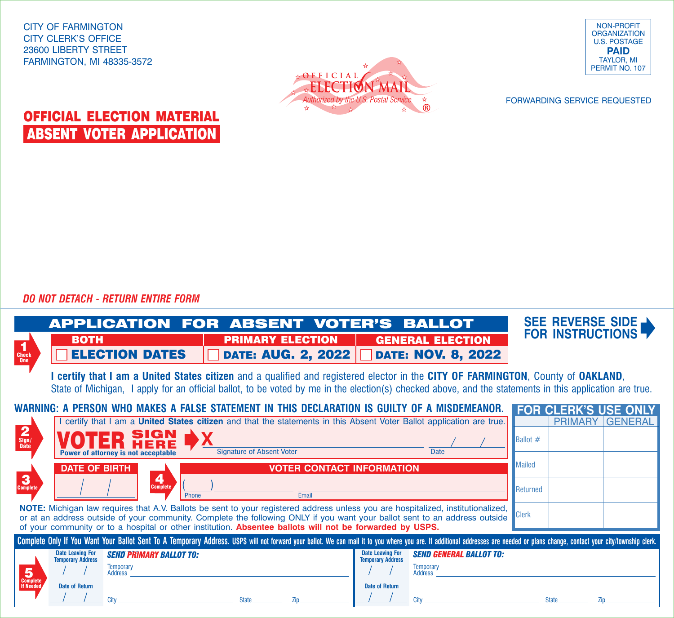CITY OF FARMINGTON CITY CLERK'S OFFICE 23600 LIBERTY STREET FARMINGTON, MI 48335-3572





FORWARDING SERVICE REQUESTED

## OFFICIAL ELECTION MATERIAL ABSENT VOTER APPLICATION

*DO NOT DETACH - RETURN ENTIRE FORM*

Т

|                                                                                                                                                                                                                                                                                                                                                                                            | Application for Absent Voter's Ballot                                                                         |                                                      |                                                                                                                       | SEE REVERSE SIDE<br><b>FOR INSTRUCTIONS</b> |  |
|--------------------------------------------------------------------------------------------------------------------------------------------------------------------------------------------------------------------------------------------------------------------------------------------------------------------------------------------------------------------------------------------|---------------------------------------------------------------------------------------------------------------|------------------------------------------------------|-----------------------------------------------------------------------------------------------------------------------|---------------------------------------------|--|
| 1<br>Check<br>One                                                                                                                                                                                                                                                                                                                                                                          | <b>BOTH</b><br><b>ELECTION DATES</b>                                                                          | <b>PRIMARY ELECTION</b><br><b>DATE: AUG. 2, 2022</b> | <b>GENERAL ELECTION</b><br><b>DATE: NOV. 8, 2022</b>                                                                  |                                             |  |
| I certify that I am a United States citizen and a qualified and registered elector in the CITY OF FARMINGTON, County of OAKLAND,<br>State of Michigan, I apply for an official ballot, to be voted by me in the election(s) checked above, and the statements in this application are true.                                                                                                |                                                                                                               |                                                      |                                                                                                                       |                                             |  |
| WARNING: A PERSON WHO MAKES A FALSE STATEMENT IN THIS DECLARATION IS GUILTY OF A MISDEMEANOR.<br><b>FOR CLERK'S USE ONLY</b>                                                                                                                                                                                                                                                               |                                                                                                               |                                                      |                                                                                                                       |                                             |  |
|                                                                                                                                                                                                                                                                                                                                                                                            |                                                                                                               |                                                      | I certify that I am a United States citizen and that the statements in this Absent Voter Ballot application are true. | <b>PRIMARY GENERAL</b>                      |  |
| $\frac{2}{\frac{Sign}{Date}}$                                                                                                                                                                                                                                                                                                                                                              | SIGN<br>Power of attorney is not acceptable                                                                   | <b>Signature of Absent Voter</b>                     | <b>Date</b>                                                                                                           | <b>Ballot</b> $#$                           |  |
|                                                                                                                                                                                                                                                                                                                                                                                            | <b>DATE OF BIRTH</b>                                                                                          | <b>VOTER CONTACT INFORMATION</b>                     |                                                                                                                       | <b>Mailed</b>                               |  |
| 3<br><b>Complete</b>                                                                                                                                                                                                                                                                                                                                                                       | 4<br><b>Complete</b><br><b>Phone</b>                                                                          | Fmail                                                |                                                                                                                       | Returned                                    |  |
| NOTE: Michigan law requires that A.V. Ballots be sent to your registered address unless you are hospitalized, institutionalized,<br><b>Clerk</b><br>or at an address outside of your community. Complete the following ONLY if you want your ballot sent to an address outside<br>of your community or to a hospital or other institution. Absentee ballots will not be forwarded by USPS. |                                                                                                               |                                                      |                                                                                                                       |                                             |  |
| Complete Only If You Want Your Ballot Sent To A Temporary Address. USPS will not forward your ballot. We can mail it to you where you are. If additional addresses are needed or plans change, contact your city/township cler                                                                                                                                                             |                                                                                                               |                                                      |                                                                                                                       |                                             |  |
| 5                                                                                                                                                                                                                                                                                                                                                                                          | <b>Date Leaving For</b><br><b>SEND PRIMARY BALLOT TO:</b><br><b>Temporary Address</b><br>Temporary<br>Address |                                                      | <b>Date Leaving For</b><br><b>SEND GENERAL BALLOT TO:</b><br><b>Temporary Address</b><br>Temporary<br>Address         |                                             |  |
| <b>Complete</b><br><b>If Needed</b>                                                                                                                                                                                                                                                                                                                                                        | <b>Date of Return</b><br>City                                                                                 | <b>State</b><br>Zip                                  | <b>Date of Return</b><br>City                                                                                         | <b>State</b><br>Zin                         |  |